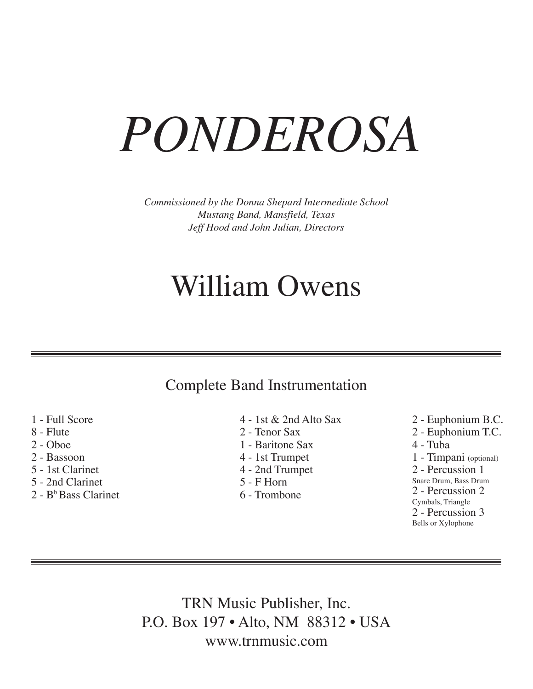# *PONDEROSA*

*Commissioned by the Donna Shepard Intermediate School Mustang Band, Mansfield, Texas Jeff Hood and John Julian, Directors*

# William Owens

## Complete Band Instrumentation

- 1 Full Score
- 8 Flute
- 2 Oboe
- 2 Bassoon
- 5 1st Clarinet
- 5 2nd Clarinet
- $2 B<sup>b</sup>$  Bass Clarinet
- 4 1st & 2nd Alto Sax 2 - Tenor Sax 1 - Baritone Sax 4 - 1st Trumpet 4 - 2nd Trumpet 5 - F Horn 6 - Trombone
- 2 Euphonium B.C. 2 - Euphonium T.C. 4 - Tuba 1 - Timpani (optional) 2 - Percussion 1 Snare Drum, Bass Drum 2 - Percussion 2 Cymbals, Triangle 2 - Percussion 3 Bells or Xylophone

TRN Music Publisher, Inc. P.O. Box 197 • Alto, NM 88312 • USA www.trnmusic.com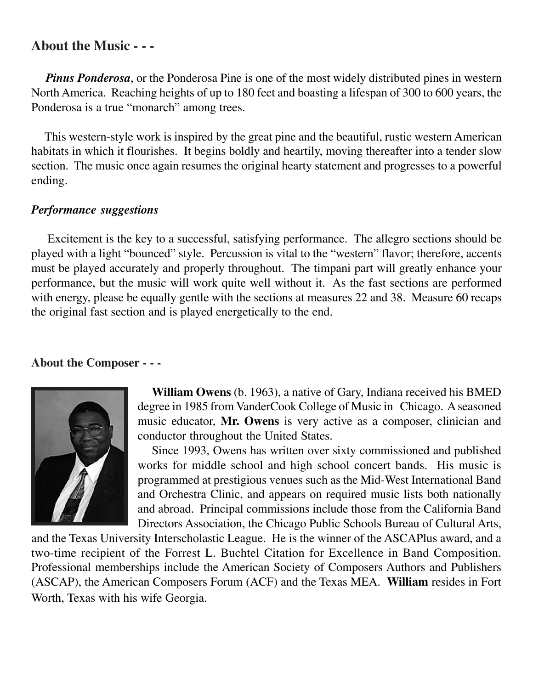### **About the Music - - -**

 *Pinus Ponderosa*, or the Ponderosa Pine is one of the most widely distributed pines in western North America. Reaching heights of up to 180 feet and boasting a lifespan of 300 to 600 years, the Ponderosa is a true "monarch" among trees.

 This western-style work is inspired by the great pine and the beautiful, rustic western American habitats in which it flourishes. It begins boldly and heartily, moving thereafter into a tender slow section. The music once again resumes the original hearty statement and progresses to a powerful ending.

#### *Performance suggestions*

 Excitement is the key to a successful, satisfying performance. The allegro sections should be played with a light "bounced" style. Percussion is vital to the "western" flavor; therefore, accents must be played accurately and properly throughout. The timpani part will greatly enhance your performance, but the music will work quite well without it. As the fast sections are performed with energy, please be equally gentle with the sections at measures 22 and 38. Measure 60 recaps the original fast section and is played energetically to the end.

#### **About the Composer - - -**



 **William Owens** (b. 1963), a native of Gary, Indiana received his BMED degree in 1985 from VanderCook College of Music in Chicago. A seasoned music educator, **Mr. Owens** is very active as a composer, clinician and conductor throughout the United States.

 Since 1993, Owens has written over sixty commissioned and published works for middle school and high school concert bands. His music is programmed at prestigious venues such as the Mid-West International Band and Orchestra Clinic, and appears on required music lists both nationally and abroad. Principal commissions include those from the California Band Directors Association, the Chicago Public Schools Bureau of Cultural Arts,

and the Texas University Interscholastic League. He is the winner of the ASCAPlus award, and a two-time recipient of the Forrest L. Buchtel Citation for Excellence in Band Composition. Professional memberships include the American Society of Composers Authors and Publishers (ASCAP), the American Composers Forum (ACF) and the Texas MEA. **William** resides in Fort Worth, Texas with his wife Georgia.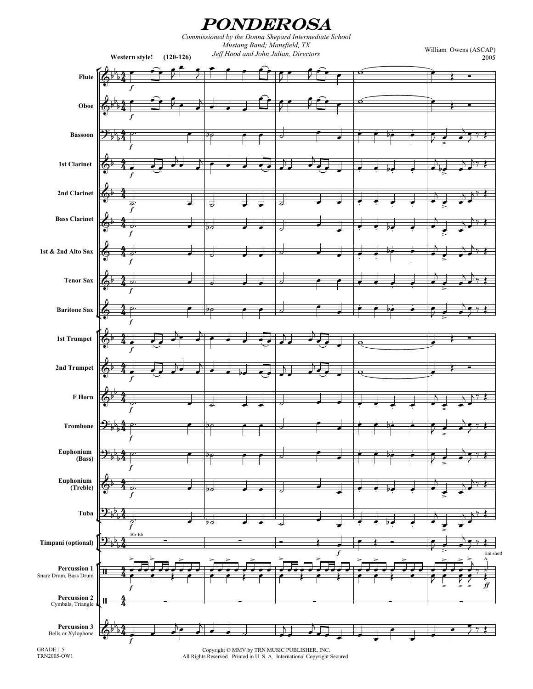

GRADE 1.5 TRN2005-OW1

All Rights Reserved. Printed in U. S. A. International Copyright Secured.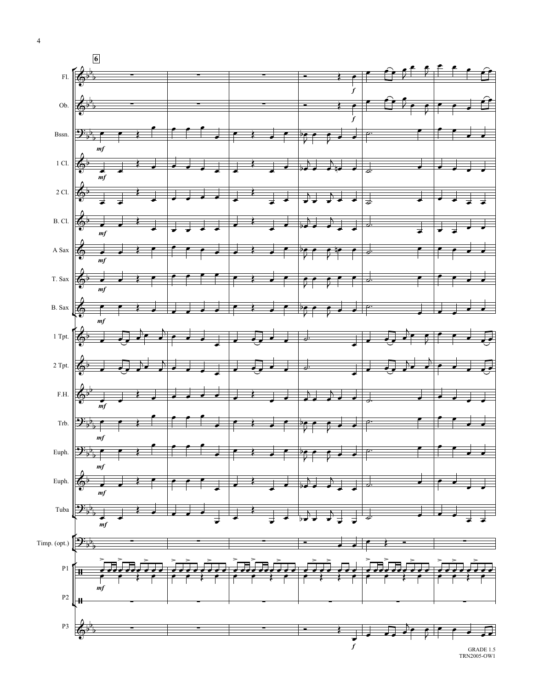

4

GRADE 1.5 TRN2005-OW1